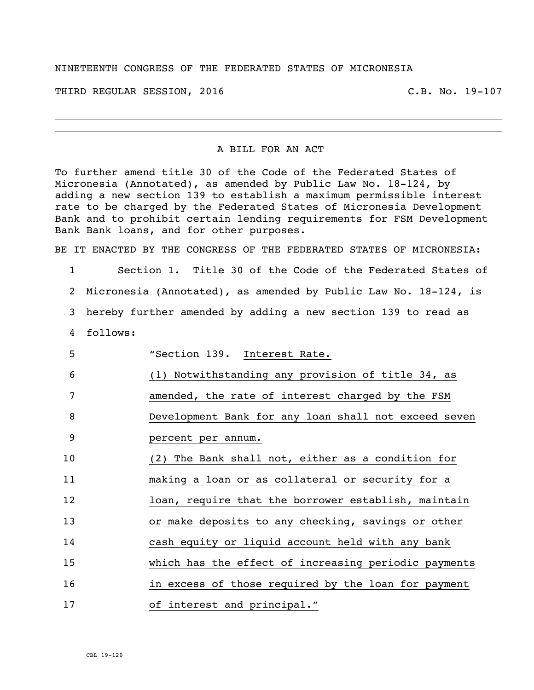## NINETEENTH CONGRESS OF THE FEDERATED STATES OF MICRONESIA

THIRD REGULAR SESSION, 2016 C.B. No. 19-107

## A BILL FOR AN ACT

To further amend title 30 of the Code of the Federated States of Micronesia (Annotated), as amended by Public Law No. 18-124, by adding a new section 139 to establish a maximum permissible interest rate to be charged by the Federated States of Micronesia Development Bank and to prohibit certain lending requirements for FSM Development Bank Bank loans, and for other purposes.

BE IT ENACTED BY THE CONGRESS OF THE FEDERATED STATES OF MICRONESIA:

- 1 Section 1. Title 30 of the Code of the Federated States of 2 Micronesia (Annotated), as amended by Public Law No. 18-124, is 3 hereby further amended by adding a new section 139 to read as 4 follows:
- 5 "Section 139. Interest Rate. 6 (1) Notwithstanding any provision of title 34, as 7 amended, the rate of interest charged by the FSM 8 Development Bank for any loan shall not exceed seven 9 percent per annum. 10 (2) The Bank shall not, either as a condition for 11 making a loan or as collateral or security for a 12 **12** loan, require that the borrower establish, maintain 13 or make deposits to any checking, savings or other 14 cash equity or liquid account held with any bank 15 which has the effect of increasing periodic payments 16 16 10 in excess of those required by the loan for payment 17 of interest and principal."